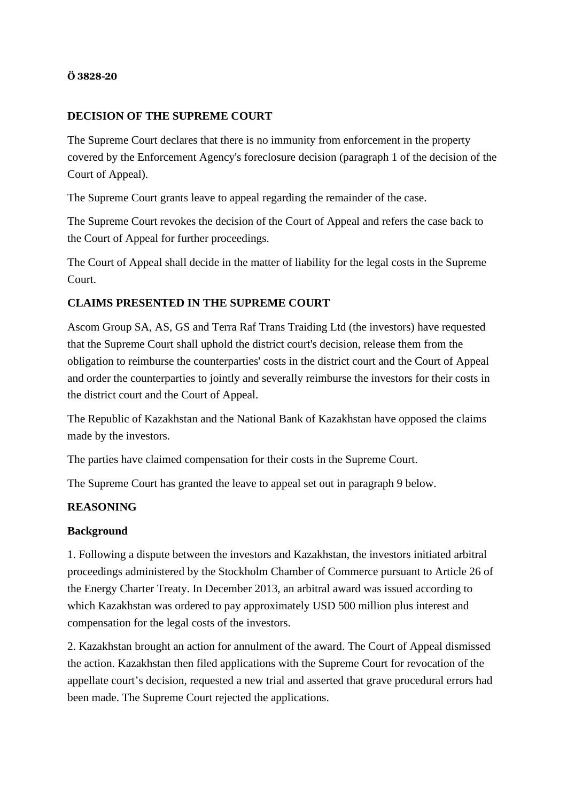## **Ö 3828-20**

## **DECISION OF THE SUPREME COURT**

The Supreme Court declares that there is no immunity from enforcement in the property covered by the Enforcement Agency's foreclosure decision (paragraph 1 of the decision of the Court of Appeal).

The Supreme Court grants leave to appeal regarding the remainder of the case.

The Supreme Court revokes the decision of the Court of Appeal and refers the case back to the Court of Appeal for further proceedings.

The Court of Appeal shall decide in the matter of liability for the legal costs in the Supreme Court.

## **CLAIMS PRESENTED IN THE SUPREME COURT**

Ascom Group SA, AS, GS and Terra Raf Trans Traiding Ltd (the investors) have requested that the Supreme Court shall uphold the district court's decision, release them from the obligation to reimburse the counterparties' costs in the district court and the Court of Appeal and order the counterparties to jointly and severally reimburse the investors for their costs in the district court and the Court of Appeal.

The Republic of Kazakhstan and the National Bank of Kazakhstan have opposed the claims made by the investors.

The parties have claimed compensation for their costs in the Supreme Court.

The Supreme Court has granted the leave to appeal set out in paragraph 9 below.

## **REASONING**

#### **Background**

1. Following a dispute between the investors and Kazakhstan, the investors initiated arbitral proceedings administered by the Stockholm Chamber of Commerce pursuant to Article 26 of the Energy Charter Treaty. In December 2013, an arbitral award was issued according to which Kazakhstan was ordered to pay approximately USD 500 million plus interest and compensation for the legal costs of the investors.

2. Kazakhstan brought an action for annulment of the award. The Court of Appeal dismissed the action. Kazakhstan then filed applications with the Supreme Court for revocation of the appellate court's decision, requested a new trial and asserted that grave procedural errors had been made. The Supreme Court rejected the applications.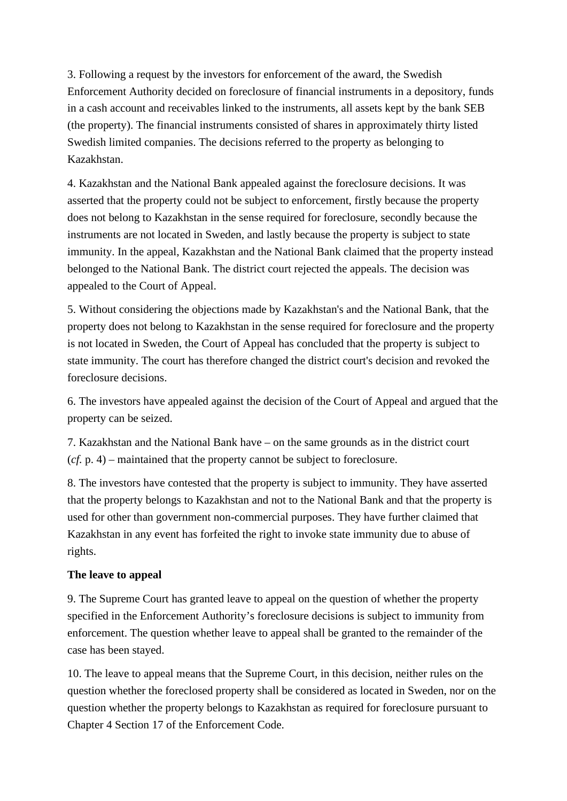3. Following a request by the investors for enforcement of the award, the Swedish Enforcement Authority decided on foreclosure of financial instruments in a depository, funds in a cash account and receivables linked to the instruments, all assets kept by the bank SEB (the property). The financial instruments consisted of shares in approximately thirty listed Swedish limited companies. The decisions referred to the property as belonging to Kazakhstan.

4. Kazakhstan and the National Bank appealed against the foreclosure decisions. It was asserted that the property could not be subject to enforcement, firstly because the property does not belong to Kazakhstan in the sense required for foreclosure, secondly because the instruments are not located in Sweden, and lastly because the property is subject to state immunity. In the appeal, Kazakhstan and the National Bank claimed that the property instead belonged to the National Bank. The district court rejected the appeals. The decision was appealed to the Court of Appeal.

5. Without considering the objections made by Kazakhstan's and the National Bank, that the property does not belong to Kazakhstan in the sense required for foreclosure and the property is not located in Sweden, the Court of Appeal has concluded that the property is subject to state immunity. The court has therefore changed the district court's decision and revoked the foreclosure decisions.

6. The investors have appealed against the decision of the Court of Appeal and argued that the property can be seized.

7. Kazakhstan and the National Bank have – on the same grounds as in the district court (*cf.* p. 4) – maintained that the property cannot be subject to foreclosure.

8. The investors have contested that the property is subject to immunity. They have asserted that the property belongs to Kazakhstan and not to the National Bank and that the property is used for other than government non-commercial purposes. They have further claimed that Kazakhstan in any event has forfeited the right to invoke state immunity due to abuse of rights.

## **The leave to appeal**

9. The Supreme Court has granted leave to appeal on the question of whether the property specified in the Enforcement Authority's foreclosure decisions is subject to immunity from enforcement. The question whether leave to appeal shall be granted to the remainder of the case has been stayed.

10. The leave to appeal means that the Supreme Court, in this decision, neither rules on the question whether the foreclosed property shall be considered as located in Sweden, nor on the question whether the property belongs to Kazakhstan as required for foreclosure pursuant to Chapter 4 Section 17 of the Enforcement Code.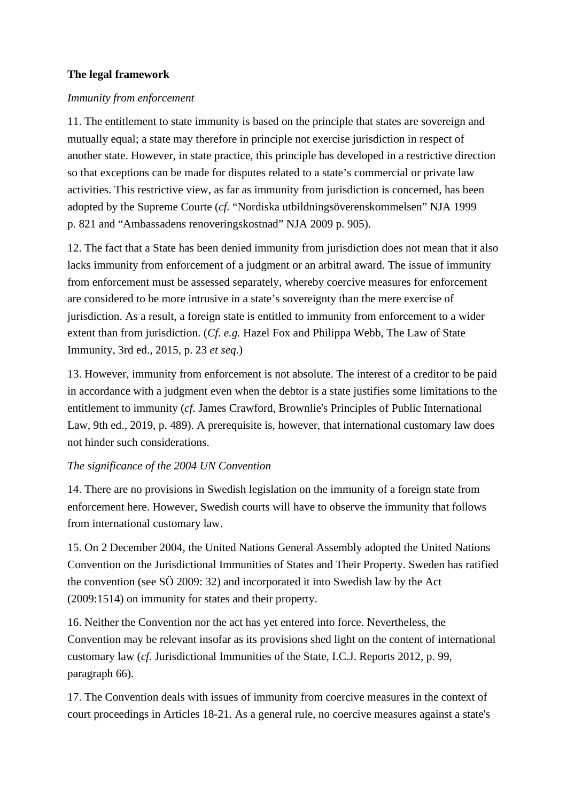## **The legal framework**

#### *Immunity from enforcement*

11. The entitlement to state immunity is based on the principle that states are sovereign and mutually equal; a state may therefore in principle not exercise jurisdiction in respect of another state. However, in state practice, this principle has developed in a restrictive direction so that exceptions can be made for disputes related to a state's commercial or private law activities. This restrictive view, as far as immunity from jurisdiction is concerned, has been adopted by the Supreme Courte (*cf.* "Nordiska utbildningsöverenskommelsen" NJA 1999 p. 821 and "Ambassadens renoveringskostnad" NJA 2009 p. 905).

12. The fact that a State has been denied immunity from jurisdiction does not mean that it also lacks immunity from enforcement of a judgment or an arbitral award. The issue of immunity from enforcement must be assessed separately, whereby coercive measures for enforcement are considered to be more intrusive in a state's sovereignty than the mere exercise of jurisdiction. As a result, a foreign state is entitled to immunity from enforcement to a wider extent than from jurisdiction. (*Cf. e.g.* Hazel Fox and Philippa Webb, The Law of State Immunity, 3rd ed., 2015, p. 23 *et seq*.)

13. However, immunity from enforcement is not absolute. The interest of a creditor to be paid in accordance with a judgment even when the debtor is a state justifies some limitations to the entitlement to immunity (*cf.* James Crawford, Brownlie's Principles of Public International Law, 9th ed., 2019, p. 489). A prerequisite is, however, that international customary law does not hinder such considerations.

### *The significance of the 2004 UN Convention*

14. There are no provisions in Swedish legislation on the immunity of a foreign state from enforcement here. However, Swedish courts will have to observe the immunity that follows from international customary law.

15. On 2 December 2004, the United Nations General Assembly adopted the United Nations Convention on the Jurisdictional Immunities of States and Their Property. Sweden has ratified the convention (see SÖ 2009: 32) and incorporated it into Swedish law by the Act (2009:1514) on immunity for states and their property.

16. Neither the Convention nor the act has yet entered into force. Nevertheless, the Convention may be relevant insofar as its provisions shed light on the content of international customary law (*cf.* Jurisdictional Immunities of the State, I.C.J. Reports 2012, p. 99, paragraph 66).

17. The Convention deals with issues of immunity from coercive measures in the context of court proceedings in Articles 18-21. As a general rule, no coercive measures against a state's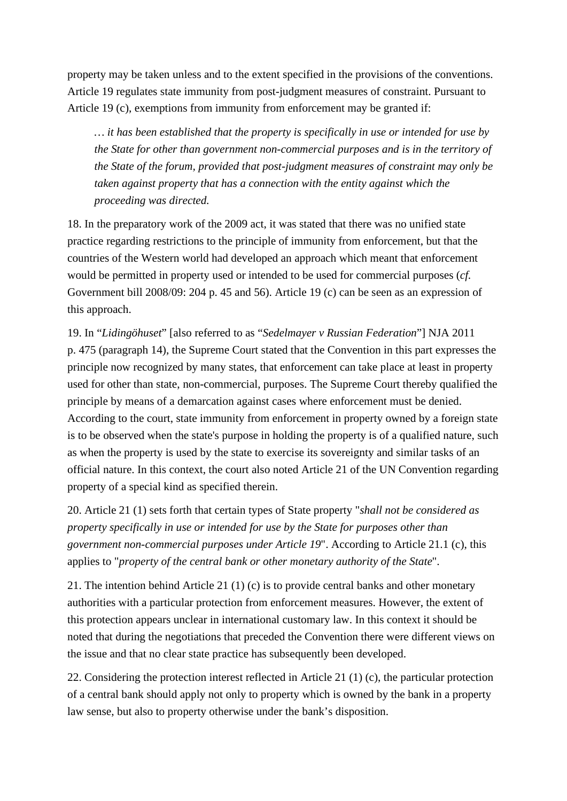property may be taken unless and to the extent specified in the provisions of the conventions. Article 19 regulates state immunity from post-judgment measures of constraint. Pursuant to Article 19 (c), exemptions from immunity from enforcement may be granted if:

*… it has been established that the property is specifically in use or intended for use by the State for other than government non-commercial purposes and is in the territory of the State of the forum, provided that post-judgment measures of constraint may only be taken against property that has a connection with the entity against which the proceeding was directed.* 

18. In the preparatory work of the 2009 act, it was stated that there was no unified state practice regarding restrictions to the principle of immunity from enforcement, but that the countries of the Western world had developed an approach which meant that enforcement would be permitted in property used or intended to be used for commercial purposes (*cf.* Government bill 2008/09: 204 p. 45 and 56). Article 19 (c) can be seen as an expression of this approach.

19. In "*Lidingöhuset*" [also referred to as "*Sedelmayer v Russian Federation*"] NJA 2011 p. 475 (paragraph 14), the Supreme Court stated that the Convention in this part expresses the principle now recognized by many states, that enforcement can take place at least in property used for other than state, non-commercial, purposes. The Supreme Court thereby qualified the principle by means of a demarcation against cases where enforcement must be denied. According to the court, state immunity from enforcement in property owned by a foreign state is to be observed when the state's purpose in holding the property is of a qualified nature, such as when the property is used by the state to exercise its sovereignty and similar tasks of an official nature. In this context, the court also noted Article 21 of the UN Convention regarding property of a special kind as specified therein.

20. Article 21 (1) sets forth that certain types of State property "*shall not be considered as property specifically in use or intended for use by the State for purposes other than government non-commercial purposes under Article 19*". According to Article 21.1 (c), this applies to "*property of the central bank or other monetary authority of the State*".

21. The intention behind Article 21 (1) (c) is to provide central banks and other monetary authorities with a particular protection from enforcement measures. However, the extent of this protection appears unclear in international customary law. In this context it should be noted that during the negotiations that preceded the Convention there were different views on the issue and that no clear state practice has subsequently been developed.

22. Considering the protection interest reflected in Article 21 (1) (c), the particular protection of a central bank should apply not only to property which is owned by the bank in a property law sense, but also to property otherwise under the bank's disposition.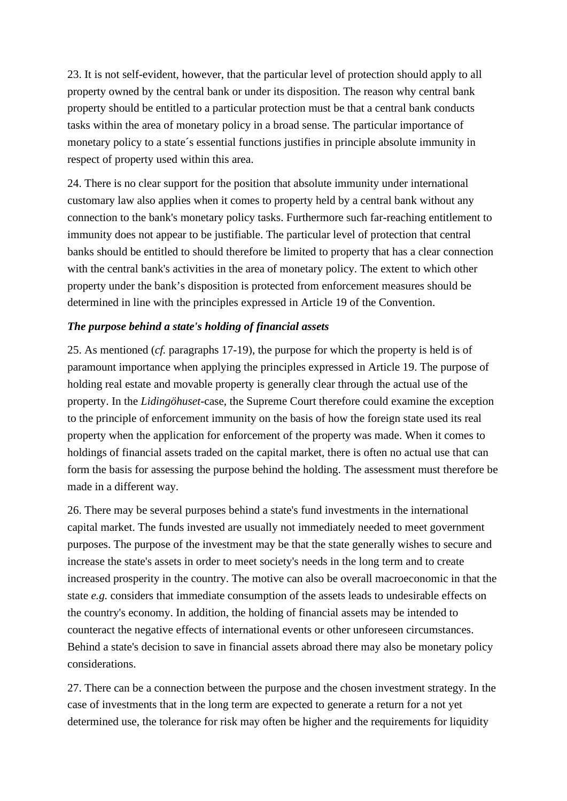23. It is not self-evident, however, that the particular level of protection should apply to all property owned by the central bank or under its disposition. The reason why central bank property should be entitled to a particular protection must be that a central bank conducts tasks within the area of monetary policy in a broad sense. The particular importance of monetary policy to a state´s essential functions justifies in principle absolute immunity in respect of property used within this area.

24. There is no clear support for the position that absolute immunity under international customary law also applies when it comes to property held by a central bank without any connection to the bank's monetary policy tasks. Furthermore such far-reaching entitlement to immunity does not appear to be justifiable. The particular level of protection that central banks should be entitled to should therefore be limited to property that has a clear connection with the central bank's activities in the area of monetary policy. The extent to which other property under the bank's disposition is protected from enforcement measures should be determined in line with the principles expressed in Article 19 of the Convention.

## *The purpose behind a state's holding of financial assets*

25. As mentioned (*cf.* paragraphs 17-19), the purpose for which the property is held is of paramount importance when applying the principles expressed in Article 19. The purpose of holding real estate and movable property is generally clear through the actual use of the property. In the *Lidingöhuset*-case, the Supreme Court therefore could examine the exception to the principle of enforcement immunity on the basis of how the foreign state used its real property when the application for enforcement of the property was made. When it comes to holdings of financial assets traded on the capital market, there is often no actual use that can form the basis for assessing the purpose behind the holding. The assessment must therefore be made in a different way.

26. There may be several purposes behind a state's fund investments in the international capital market. The funds invested are usually not immediately needed to meet government purposes. The purpose of the investment may be that the state generally wishes to secure and increase the state's assets in order to meet society's needs in the long term and to create increased prosperity in the country. The motive can also be overall macroeconomic in that the state *e.g.* considers that immediate consumption of the assets leads to undesirable effects on the country's economy. In addition, the holding of financial assets may be intended to counteract the negative effects of international events or other unforeseen circumstances. Behind a state's decision to save in financial assets abroad there may also be monetary policy considerations.

27. There can be a connection between the purpose and the chosen investment strategy. In the case of investments that in the long term are expected to generate a return for a not yet determined use, the tolerance for risk may often be higher and the requirements for liquidity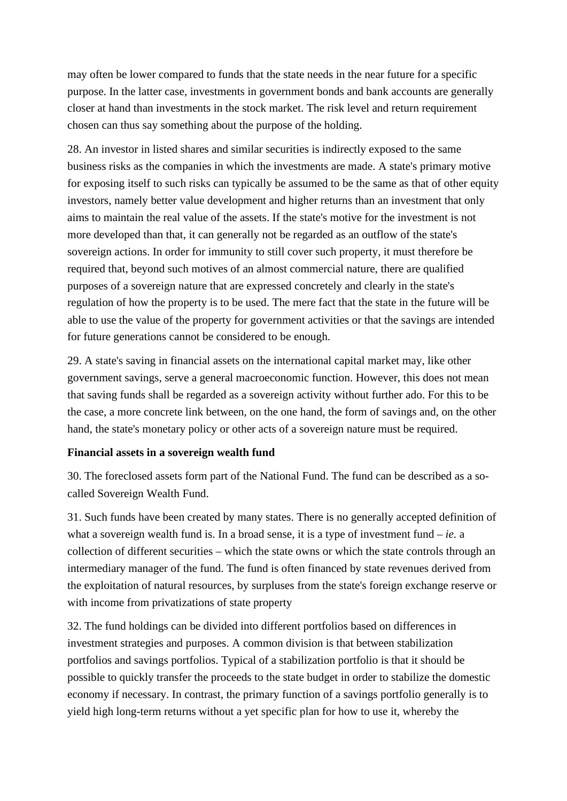may often be lower compared to funds that the state needs in the near future for a specific purpose. In the latter case, investments in government bonds and bank accounts are generally closer at hand than investments in the stock market. The risk level and return requirement chosen can thus say something about the purpose of the holding.

28. An investor in listed shares and similar securities is indirectly exposed to the same business risks as the companies in which the investments are made. A state's primary motive for exposing itself to such risks can typically be assumed to be the same as that of other equity investors, namely better value development and higher returns than an investment that only aims to maintain the real value of the assets. If the state's motive for the investment is not more developed than that, it can generally not be regarded as an outflow of the state's sovereign actions. In order for immunity to still cover such property, it must therefore be required that, beyond such motives of an almost commercial nature, there are qualified purposes of a sovereign nature that are expressed concretely and clearly in the state's regulation of how the property is to be used. The mere fact that the state in the future will be able to use the value of the property for government activities or that the savings are intended for future generations cannot be considered to be enough.

29. A state's saving in financial assets on the international capital market may, like other government savings, serve a general macroeconomic function. However, this does not mean that saving funds shall be regarded as a sovereign activity without further ado. For this to be the case, a more concrete link between, on the one hand, the form of savings and, on the other hand, the state's monetary policy or other acts of a sovereign nature must be required.

## **Financial assets in a sovereign wealth fund**

30. The foreclosed assets form part of the National Fund. The fund can be described as a socalled Sovereign Wealth Fund.

31. Such funds have been created by many states. There is no generally accepted definition of what a sovereign wealth fund is. In a broad sense, it is a type of investment fund – *ie.* a collection of different securities – which the state owns or which the state controls through an intermediary manager of the fund. The fund is often financed by state revenues derived from the exploitation of natural resources, by surpluses from the state's foreign exchange reserve or with income from privatizations of state property

32. The fund holdings can be divided into different portfolios based on differences in investment strategies and purposes. A common division is that between stabilization portfolios and savings portfolios. Typical of a stabilization portfolio is that it should be possible to quickly transfer the proceeds to the state budget in order to stabilize the domestic economy if necessary. In contrast, the primary function of a savings portfolio generally is to yield high long-term returns without a yet specific plan for how to use it, whereby the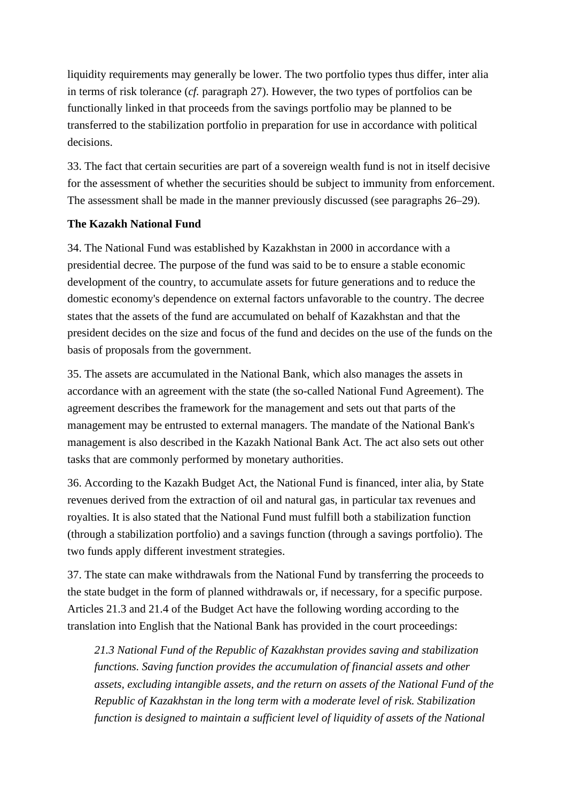liquidity requirements may generally be lower. The two portfolio types thus differ, inter alia in terms of risk tolerance (*cf.* paragraph 27). However, the two types of portfolios can be functionally linked in that proceeds from the savings portfolio may be planned to be transferred to the stabilization portfolio in preparation for use in accordance with political decisions.

33. The fact that certain securities are part of a sovereign wealth fund is not in itself decisive for the assessment of whether the securities should be subject to immunity from enforcement. The assessment shall be made in the manner previously discussed (see paragraphs 26–29).

### **The Kazakh National Fund**

34. The National Fund was established by Kazakhstan in 2000 in accordance with a presidential decree. The purpose of the fund was said to be to ensure a stable economic development of the country, to accumulate assets for future generations and to reduce the domestic economy's dependence on external factors unfavorable to the country. The decree states that the assets of the fund are accumulated on behalf of Kazakhstan and that the president decides on the size and focus of the fund and decides on the use of the funds on the basis of proposals from the government.

35. The assets are accumulated in the National Bank, which also manages the assets in accordance with an agreement with the state (the so-called National Fund Agreement). The agreement describes the framework for the management and sets out that parts of the management may be entrusted to external managers. The mandate of the National Bank's management is also described in the Kazakh National Bank Act. The act also sets out other tasks that are commonly performed by monetary authorities.

36. According to the Kazakh Budget Act, the National Fund is financed, inter alia, by State revenues derived from the extraction of oil and natural gas, in particular tax revenues and royalties. It is also stated that the National Fund must fulfill both a stabilization function (through a stabilization portfolio) and a savings function (through a savings portfolio). The two funds apply different investment strategies.

37. The state can make withdrawals from the National Fund by transferring the proceeds to the state budget in the form of planned withdrawals or, if necessary, for a specific purpose. Articles 21.3 and 21.4 of the Budget Act have the following wording according to the translation into English that the National Bank has provided in the court proceedings:

*21.3 National Fund of the Republic of Kazakhstan provides saving and stabilization functions. Saving function provides the accumulation of financial assets and other assets, excluding intangible assets, and the return on assets of the National Fund of the Republic of Kazakhstan in the long term with a moderate level of risk. Stabilization function is designed to maintain a sufficient level of liquidity of assets of the National*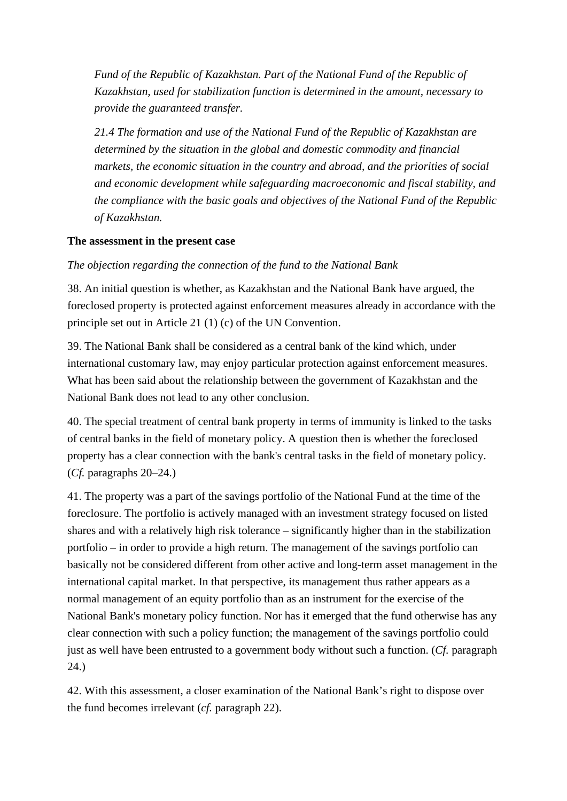*Fund of the Republic of Kazakhstan. Part of the National Fund of the Republic of Kazakhstan, used for stabilization function is determined in the amount, necessary to provide the guaranteed transfer.* 

*21.4 The formation and use of the National Fund of the Republic of Kazakhstan are determined by the situation in the global and domestic commodity and financial markets, the economic situation in the country and abroad, and the priorities of social and economic development while safeguarding macroeconomic and fiscal stability, and the compliance with the basic goals and objectives of the National Fund of the Republic of Kazakhstan.* 

# **The assessment in the present case**

*The objection regarding the connection of the fund to the National Bank* 

38. An initial question is whether, as Kazakhstan and the National Bank have argued, the foreclosed property is protected against enforcement measures already in accordance with the principle set out in Article 21 (1) (c) of the UN Convention.

39. The National Bank shall be considered as a central bank of the kind which, under international customary law, may enjoy particular protection against enforcement measures. What has been said about the relationship between the government of Kazakhstan and the National Bank does not lead to any other conclusion.

40. The special treatment of central bank property in terms of immunity is linked to the tasks of central banks in the field of monetary policy. A question then is whether the foreclosed property has a clear connection with the bank's central tasks in the field of monetary policy. (*Cf.* paragraphs 20–24.)

41. The property was a part of the savings portfolio of the National Fund at the time of the foreclosure. The portfolio is actively managed with an investment strategy focused on listed shares and with a relatively high risk tolerance – significantly higher than in the stabilization portfolio – in order to provide a high return. The management of the savings portfolio can basically not be considered different from other active and long-term asset management in the international capital market. In that perspective, its management thus rather appears as a normal management of an equity portfolio than as an instrument for the exercise of the National Bank's monetary policy function. Nor has it emerged that the fund otherwise has any clear connection with such a policy function; the management of the savings portfolio could just as well have been entrusted to a government body without such a function. (*Cf.* paragraph 24.)

42. With this assessment, a closer examination of the National Bank's right to dispose over the fund becomes irrelevant (*cf.* paragraph 22).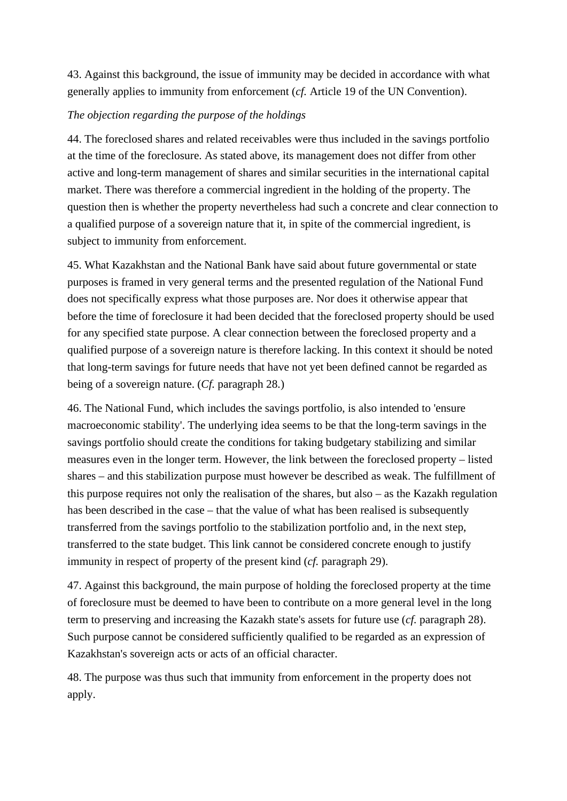43. Against this background, the issue of immunity may be decided in accordance with what generally applies to immunity from enforcement (*cf.* Article 19 of the UN Convention).

# *The objection regarding the purpose of the holdings*

44. The foreclosed shares and related receivables were thus included in the savings portfolio at the time of the foreclosure. As stated above, its management does not differ from other active and long-term management of shares and similar securities in the international capital market. There was therefore a commercial ingredient in the holding of the property. The question then is whether the property nevertheless had such a concrete and clear connection to a qualified purpose of a sovereign nature that it, in spite of the commercial ingredient, is subject to immunity from enforcement.

45. What Kazakhstan and the National Bank have said about future governmental or state purposes is framed in very general terms and the presented regulation of the National Fund does not specifically express what those purposes are. Nor does it otherwise appear that before the time of foreclosure it had been decided that the foreclosed property should be used for any specified state purpose. A clear connection between the foreclosed property and a qualified purpose of a sovereign nature is therefore lacking. In this context it should be noted that long-term savings for future needs that have not yet been defined cannot be regarded as being of a sovereign nature. (*Cf.* paragraph 28.)

46. The National Fund, which includes the savings portfolio, is also intended to 'ensure macroeconomic stability'. The underlying idea seems to be that the long-term savings in the savings portfolio should create the conditions for taking budgetary stabilizing and similar measures even in the longer term. However, the link between the foreclosed property – listed shares – and this stabilization purpose must however be described as weak. The fulfillment of this purpose requires not only the realisation of the shares, but also – as the Kazakh regulation has been described in the case – that the value of what has been realised is subsequently transferred from the savings portfolio to the stabilization portfolio and, in the next step, transferred to the state budget. This link cannot be considered concrete enough to justify immunity in respect of property of the present kind (*cf.* paragraph 29).

47. Against this background, the main purpose of holding the foreclosed property at the time of foreclosure must be deemed to have been to contribute on a more general level in the long term to preserving and increasing the Kazakh state's assets for future use (*cf.* paragraph 28). Such purpose cannot be considered sufficiently qualified to be regarded as an expression of Kazakhstan's sovereign acts or acts of an official character.

48. The purpose was thus such that immunity from enforcement in the property does not apply.